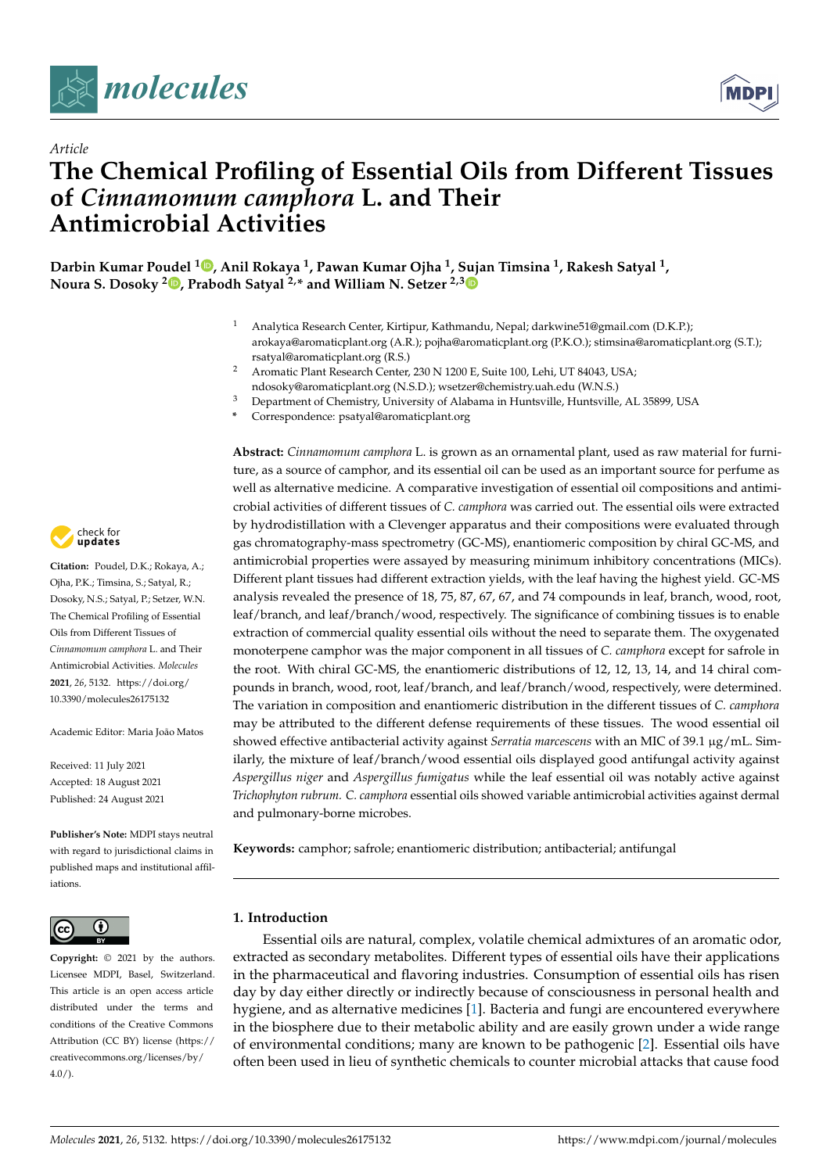



# *Article* **The Chemical Profiling of Essential Oils from Different Tissues of** *Cinnamomum camphora* **L. and Their Antimicrobial Activities**

**Darbin Kumar Poudel <sup>1</sup> [,](https://orcid.org/0000-0003-2331-3440) Anil Rokaya <sup>1</sup> , Pawan Kumar Ojha <sup>1</sup> , Sujan Timsina <sup>1</sup> , Rakesh Satyal <sup>1</sup> , Noura S. Dosoky <sup>2</sup> [,](https://orcid.org/0000-0002-4434-9146) Prabodh Satyal 2,\* and William N. Setzer 2,[3](https://orcid.org/0000-0002-3639-0528)**

- <sup>1</sup> Analytica Research Center, Kirtipur, Kathmandu, Nepal; darkwine51@gmail.com (D.K.P.); arokaya@aromaticplant.org (A.R.); pojha@aromaticplant.org (P.K.O.); stimsina@aromaticplant.org (S.T.); rsatyal@aromaticplant.org (R.S.)
- <sup>2</sup> Aromatic Plant Research Center, 230 N 1200 E, Suite 100, Lehi, UT 84043, USA; ndosoky@aromaticplant.org (N.S.D.); wsetzer@chemistry.uah.edu (W.N.S.)
- <sup>3</sup> Department of Chemistry, University of Alabama in Huntsville, Huntsville, AL 35899, USA
- **\*** Correspondence: psatyal@aromaticplant.org

**Abstract:** *Cinnamomum camphora* L. is grown as an ornamental plant, used as raw material for furniture, as a source of camphor, and its essential oil can be used as an important source for perfume as well as alternative medicine. A comparative investigation of essential oil compositions and antimicrobial activities of different tissues of *C. camphora* was carried out. The essential oils were extracted by hydrodistillation with a Clevenger apparatus and their compositions were evaluated through gas chromatography-mass spectrometry (GC-MS), enantiomeric composition by chiral GC-MS, and antimicrobial properties were assayed by measuring minimum inhibitory concentrations (MICs). Different plant tissues had different extraction yields, with the leaf having the highest yield. GC-MS analysis revealed the presence of 18, 75, 87, 67, 67, and 74 compounds in leaf, branch, wood, root, leaf/branch, and leaf/branch/wood, respectively. The significance of combining tissues is to enable extraction of commercial quality essential oils without the need to separate them. The oxygenated monoterpene camphor was the major component in all tissues of *C. camphora* except for safrole in the root. With chiral GC-MS, the enantiomeric distributions of 12, 12, 13, 14, and 14 chiral compounds in branch, wood, root, leaf/branch, and leaf/branch/wood, respectively, were determined. The variation in composition and enantiomeric distribution in the different tissues of *C. camphora* may be attributed to the different defense requirements of these tissues. The wood essential oil showed effective antibacterial activity against *Serratia marcescens* with an MIC of 39.1 µg/mL. Similarly, the mixture of leaf/branch/wood essential oils displayed good antifungal activity against *Aspergillus niger* and *Aspergillus fumigatus* while the leaf essential oil was notably active against *Trichophyton rubrum. C. camphora* essential oils showed variable antimicrobial activities against dermal and pulmonary-borne microbes.

**Keywords:** camphor; safrole; enantiomeric distribution; antibacterial; antifungal

# **1. Introduction**

Essential oils are natural, complex, volatile chemical admixtures of an aromatic odor, extracted as secondary metabolites. Different types of essential oils have their applications in the pharmaceutical and flavoring industries. Consumption of essential oils has risen day by day either directly or indirectly because of consciousness in personal health and hygiene, and as alternative medicines [\[1\]](#page-8-0). Bacteria and fungi are encountered everywhere in the biosphere due to their metabolic ability and are easily grown under a wide range of environmental conditions; many are known to be pathogenic [\[2\]](#page-8-1). Essential oils have often been used in lieu of synthetic chemicals to counter microbial attacks that cause food



**Citation:** Poudel, D.K.; Rokaya, A.; Ojha, P.K.; Timsina, S.; Satyal, R.; Dosoky, N.S.; Satyal, P.; Setzer, W.N. The Chemical Profiling of Essential Oils from Different Tissues of *Cinnamomum camphora* L. and Their Antimicrobial Activities. *Molecules* **2021**, *26*, 5132. [https://doi.org/](https://doi.org/10.3390/molecules26175132) [10.3390/molecules26175132](https://doi.org/10.3390/molecules26175132)

Academic Editor: Maria João Matos

Received: 11 July 2021 Accepted: 18 August 2021 Published: 24 August 2021

**Publisher's Note:** MDPI stays neutral with regard to jurisdictional claims in published maps and institutional affiliations.



**Copyright:** © 2021 by the authors. Licensee MDPI, Basel, Switzerland. This article is an open access article distributed under the terms and conditions of the Creative Commons Attribution (CC BY) license (https:/[/](https://creativecommons.org/licenses/by/4.0/) [creativecommons.org/licenses/by/](https://creativecommons.org/licenses/by/4.0/)  $4.0/$ ).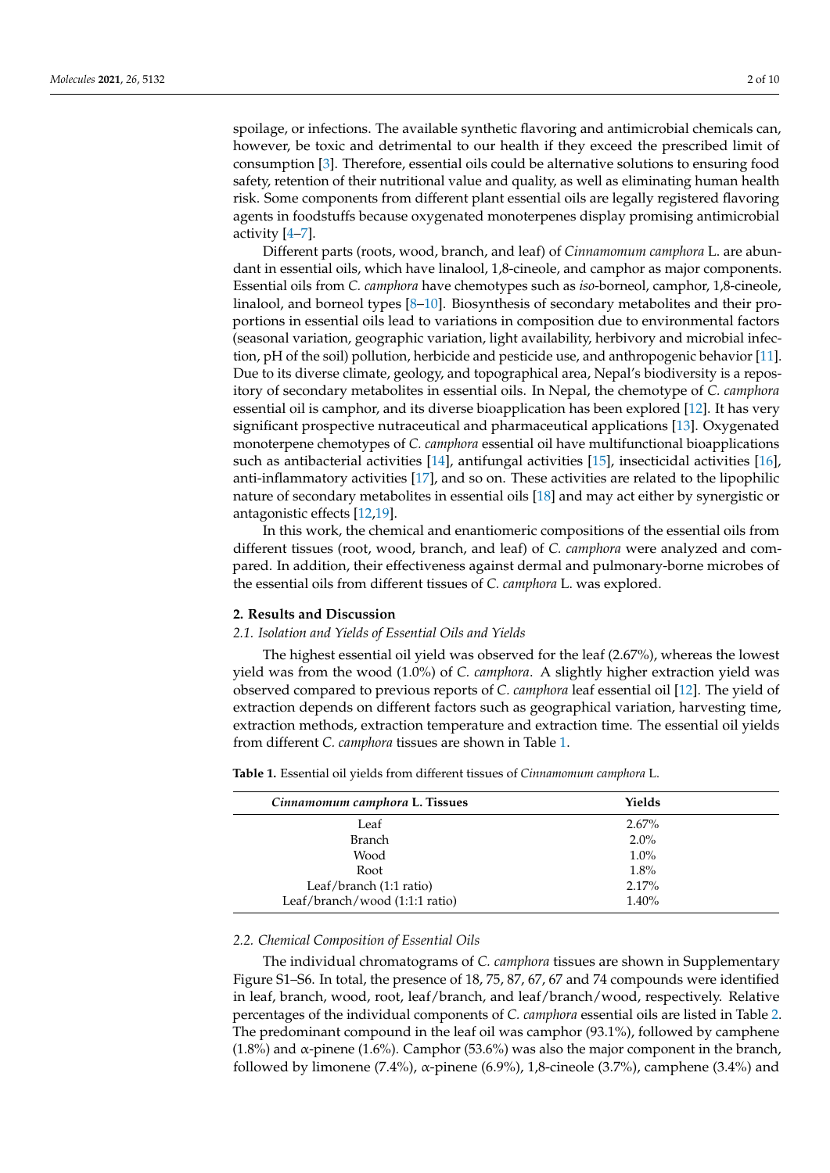spoilage, or infections. The available synthetic flavoring and antimicrobial chemicals can, however, be toxic and detrimental to our health if they exceed the prescribed limit of consumption [\[3\]](#page-8-2). Therefore, essential oils could be alternative solutions to ensuring food safety, retention of their nutritional value and quality, as well as eliminating human health risk. Some components from different plant essential oils are legally registered flavoring agents in foodstuffs because oxygenated monoterpenes display promising antimicrobial activity [\[4–](#page-8-3)[7\]](#page-8-4).

Different parts (roots, wood, branch, and leaf) of *Cinnamomum camphora* L. are abundant in essential oils, which have linalool, 1,8-cineole, and camphor as major components. Essential oils from *C. camphora* have chemotypes such as *iso*-borneol, camphor, 1,8-cineole, linalool, and borneol types [\[8](#page-8-5)[–10\]](#page-8-6). Biosynthesis of secondary metabolites and their proportions in essential oils lead to variations in composition due to environmental factors (seasonal variation, geographic variation, light availability, herbivory and microbial infection, pH of the soil) pollution, herbicide and pesticide use, and anthropogenic behavior [\[11\]](#page-8-7). Due to its diverse climate, geology, and topographical area, Nepal's biodiversity is a repository of secondary metabolites in essential oils. In Nepal, the chemotype of *C. camphora* essential oil is camphor, and its diverse bioapplication has been explored [\[12\]](#page-8-8). It has very significant prospective nutraceutical and pharmaceutical applications [\[13\]](#page-8-9). Oxygenated monoterpene chemotypes of *C. camphora* essential oil have multifunctional bioapplications such as antibacterial activities [\[14\]](#page-8-10), antifungal activities [\[15\]](#page-8-11), insecticidal activities [\[16\]](#page-8-12), anti-inflammatory activities [\[17\]](#page-8-13), and so on. These activities are related to the lipophilic nature of secondary metabolites in essential oils [\[18\]](#page-8-14) and may act either by synergistic or antagonistic effects [\[12](#page-8-8)[,19\]](#page-8-15).

In this work, the chemical and enantiomeric compositions of the essential oils from different tissues (root, wood, branch, and leaf) of *C. camphora* were analyzed and compared. In addition, their effectiveness against dermal and pulmonary-borne microbes of the essential oils from different tissues of *C. camphora* L. was explored.

## **2. Results and Discussion**

# *2.1. Isolation and Yields of Essential Oils and Yields*

The highest essential oil yield was observed for the leaf (2.67%), whereas the lowest yield was from the wood (1.0%) of *C. camphora*. A slightly higher extraction yield was observed compared to previous reports of *C. camphora* leaf essential oil [\[12\]](#page-8-8). The yield of extraction depends on different factors such as geographical variation, harvesting time, extraction methods, extraction temperature and extraction time. The essential oil yields from different *C. camphora* tissues are shown in Table [1.](#page-1-0)

| Cinnamomum camphora L. Tissues | Yields   |  |
|--------------------------------|----------|--|
| Leaf                           | $2.67\%$ |  |
| <b>Branch</b>                  | $2.0\%$  |  |
| Wood                           | $1.0\%$  |  |
| Root                           | 1.8%     |  |
| Leaf/branch (1:1 ratio)        | 2.17%    |  |
| Leaf/branch/wood (1:1:1 ratio) | 1.40%    |  |
|                                |          |  |

<span id="page-1-0"></span>**Table 1.** Essential oil yields from different tissues of *Cinnamomum camphora* L.

#### *2.2. Chemical Composition of Essential Oils*

The individual chromatograms of *C. camphora* tissues are shown in Supplementary Figure S1–S6. In total, the presence of 18, 75, 87, 67, 67 and 74 compounds were identified in leaf, branch, wood, root, leaf/branch, and leaf/branch/wood, respectively. Relative percentages of the individual components of *C. camphora* essential oils are listed in Table [2.](#page-4-0) The predominant compound in the leaf oil was camphor (93.1%), followed by camphene (1.8%) and  $\alpha$ -pinene (1.6%). Camphor (53.6%) was also the major component in the branch, followed by limonene (7.4%), α-pinene (6.9%), 1,8-cineole (3.7%), camphene (3.4%) and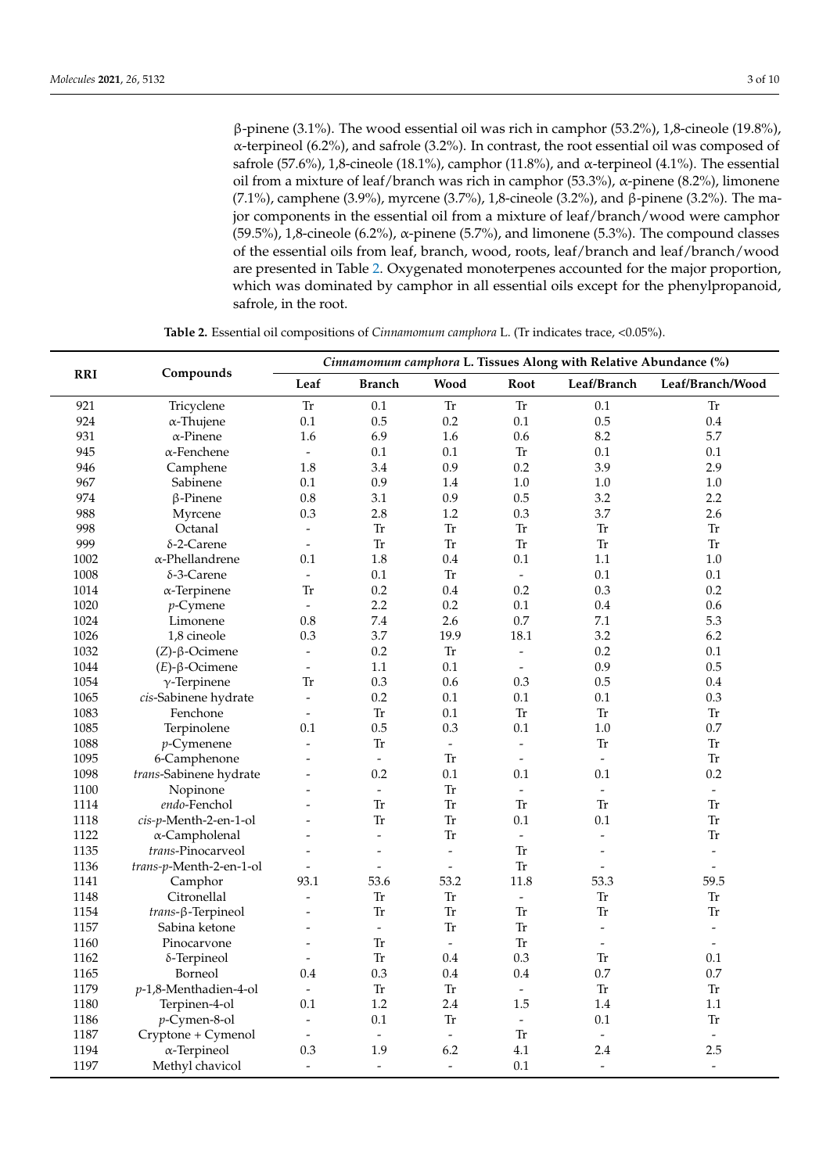β-pinene (3.1%). The wood essential oil was rich in camphor (53.2%), 1,8-cineole (19.8%), α-terpineol (6.2%), and safrole (3.2%). In contrast, the root essential oil was composed of safrole (57.6%), 1,8-cineole (18.1%), camphor (11.8%), and  $\alpha$ -terpineol (4.1%). The essential oil from a mixture of leaf/branch was rich in camphor (53.3%), α-pinene (8.2%), limonene (7.1%), camphene (3.9%), myrcene (3.7%), 1,8-cineole (3.2%), and β-pinene (3.2%). The major components in the essential oil from a mixture of leaf/branch/wood were camphor (59.5%), 1,8-cineole (6.2%), α-pinene (5.7%), and limonene (5.3%). The compound classes of the essential oils from leaf, branch, wood, roots, leaf/branch and leaf/branch/wood are presented in Table [2.](#page-4-0) Oxygenated monoterpenes accounted for the major proportion, which was dominated by camphor in all essential oils except for the phenylpropanoid, safrole, in the root.

|            |                          | Cinnamomum camphora L. Tissues Along with Relative Abundance (%) |                          |                          |                          |                          |                          |  |  |  |
|------------|--------------------------|------------------------------------------------------------------|--------------------------|--------------------------|--------------------------|--------------------------|--------------------------|--|--|--|
| <b>RRI</b> | Compounds                | Leaf                                                             | <b>Branch</b>            | Wood                     | Root                     | Leaf/Branch              | Leaf/Branch/Wood         |  |  |  |
| 921        | Tricyclene               | <b>Tr</b>                                                        | 0.1                      | ${\rm Tr}$               | <b>Tr</b>                | 0.1                      | ${\rm Tr}$               |  |  |  |
| 924        | $\alpha$ -Thujene        | 0.1                                                              | 0.5                      | 0.2                      | 0.1                      | 0.5                      | 0.4                      |  |  |  |
| 931        | $\alpha$ -Pinene         | 1.6                                                              | 6.9                      | 1.6                      | 0.6                      | 8.2                      | 5.7                      |  |  |  |
| 945        | $\alpha$ -Fenchene       | $\equiv$                                                         | 0.1                      | 0.1                      | <b>Tr</b>                | 0.1                      | 0.1                      |  |  |  |
| 946        | Camphene                 | 1.8                                                              | 3.4                      | 0.9                      | 0.2                      | 3.9                      | 2.9                      |  |  |  |
| 967        | Sabinene                 | 0.1                                                              | 0.9                      | 1.4                      | 1.0                      | 1.0                      | 1.0                      |  |  |  |
| 974        | $\beta$ -Pinene          | 0.8                                                              | 3.1                      | 0.9                      | 0.5                      | 3.2                      | 2.2                      |  |  |  |
| 988        | Myrcene                  | 0.3                                                              | 2.8                      | 1.2                      | 0.3                      | 3.7                      | 2.6                      |  |  |  |
| 998        | Octanal                  | $\equiv$                                                         | <b>Tr</b>                | <b>Tr</b>                | <b>Tr</b>                | <b>Tr</b>                | Tr                       |  |  |  |
| 999        | $\delta$ -2-Carene       | $\overline{\phantom{a}}$                                         | ${\rm Tr}$               | ${\rm Tr}$               | <b>Tr</b>                | <b>Tr</b>                | Tr                       |  |  |  |
| 1002       | α-Phellandrene           | 0.1                                                              | 1.8                      | 0.4                      | 0.1                      | 1.1                      | 1.0                      |  |  |  |
| 1008       | δ-3-Carene               | $\bar{\phantom{a}}$                                              | 0.1                      | Tr                       | $\overline{\phantom{a}}$ | 0.1                      | 0.1                      |  |  |  |
| 1014       | $\alpha$ -Terpinene      | <b>Tr</b>                                                        | 0.2                      | 0.4                      | 0.2                      | 0.3                      | 0.2                      |  |  |  |
| 1020       | $p$ -Cymene              | $\bar{\phantom{a}}$                                              | 2.2                      | 0.2                      | 0.1                      | 0.4                      | 0.6                      |  |  |  |
| 1024       | Limonene                 | 0.8                                                              | 7.4                      | 2.6                      | 0.7                      | 7.1                      | 5.3                      |  |  |  |
| 1026       | 1,8 cineole              | 0.3                                                              | 3.7                      | 19.9                     | 18.1                     | 3.2                      | 6.2                      |  |  |  |
| 1032       | $(Z)$ -β-Ocimene         | $\blacksquare$                                                   | 0.2                      | Tr                       | $\blacksquare$           | 0.2                      | 0.1                      |  |  |  |
| 1044       | $(E)$ - $\beta$ -Ocimene | $\overline{a}$                                                   | 1.1                      | 0.1                      | $\overline{a}$           | 0.9                      | 0.5                      |  |  |  |
| 1054       | $\gamma$ -Terpinene      | Tr                                                               | 0.3                      | 0.6                      | 0.3                      | 0.5                      | 0.4                      |  |  |  |
| 1065       | cis-Sabinene hydrate     | $\overline{\phantom{a}}$                                         | $0.2\,$                  | 0.1                      | $0.1\,$                  | 0.1                      | 0.3                      |  |  |  |
| 1083       | Fenchone                 | $\overline{\phantom{a}}$                                         | ${\rm Tr}$               | 0.1                      | <b>Tr</b>                | Tr                       | Tr                       |  |  |  |
| 1085       | Terpinolene              | 0.1                                                              | 0.5                      | 0.3                      | 0.1                      | 1.0                      | 0.7                      |  |  |  |
| 1088       | $p$ -Cymenene            | $\blacksquare$                                                   | ${\rm Tr}$               | $\omega$                 | $\blacksquare$           | <b>Tr</b>                | Tr                       |  |  |  |
| 1095       | 6-Camphenone             | $\overline{a}$                                                   | $\equiv$                 | <b>Tr</b>                | $\overline{a}$           | $\overline{\phantom{a}}$ | Tr                       |  |  |  |
| 1098       | trans-Sabinene hydrate   |                                                                  | 0.2                      | 0.1                      | 0.1                      | 0.1                      | 0.2                      |  |  |  |
| 1100       | Nopinone                 |                                                                  | $\overline{\phantom{a}}$ | ${\rm Tr}$               | $\bar{\phantom{a}}$      | $\omega$                 | $\overline{\phantom{a}}$ |  |  |  |
| 1114       | endo-Fenchol             |                                                                  | Tr                       | ${\rm Tr}$               | <b>Tr</b>                | Tr                       | Tr                       |  |  |  |
| 1118       | cis-p-Menth-2-en-1-ol    | $\overline{a}$                                                   | Tr                       | <b>Tr</b>                | 0.1                      | 0.1                      | Tr                       |  |  |  |
| 1122       | α-Campholenal            |                                                                  | $\frac{1}{2}$            | <b>Tr</b>                | $\blacksquare$           | $\overline{a}$           | Tr                       |  |  |  |
| 1135       | trans-Pinocarveol        |                                                                  | $\overline{a}$           | $\overline{\phantom{a}}$ | <b>Tr</b>                | $\overline{a}$           | $\overline{a}$           |  |  |  |
| 1136       | trans-p-Menth-2-en-1-ol  | $\overline{a}$                                                   | $\overline{a}$           | $\overline{a}$           | <b>Tr</b>                | $\overline{a}$           | $\overline{a}$           |  |  |  |
| 1141       | Camphor                  | 93.1                                                             | 53.6                     | 53.2                     | 11.8                     | 53.3                     | 59.5                     |  |  |  |
| 1148       | Citronellal              | $\overline{\phantom{a}}$                                         | ${\rm Tr}$               | Tr                       | $\bar{\phantom{a}}$      | <b>Tr</b>                | Tr                       |  |  |  |
| 1154       | trans-β-Terpineol        | $\overline{a}$                                                   | ${\rm Tr}$               | ${\rm Tr}$               | <b>Tr</b>                | Tr                       | Tr                       |  |  |  |
| 1157       | Sabina ketone            | $\overline{a}$                                                   | $\frac{1}{2}$            | <b>Tr</b>                | <b>Tr</b>                | $\overline{a}$           | $\overline{a}$           |  |  |  |
| 1160       | Pinocarvone              |                                                                  | Tr                       | $\mathbb{L}$             | <b>Tr</b>                | $\sim$                   | $\overline{a}$           |  |  |  |
| 1162       | δ-Terpineol              | $\overline{a}$                                                   | <b>Tr</b>                | 0.4                      | 0.3                      | Tr                       | 0.1                      |  |  |  |
| 1165       | Borneol                  | 0.4                                                              | 0.3                      | 0.4                      | 0.4                      | 0.7                      | 0.7                      |  |  |  |
| 1179       | $p-1,8$ -Menthadien-4-ol | $\overline{\phantom{a}}$                                         | ${\rm Tr}$               | ${\rm Tr}$               | $\overline{\phantom{a}}$ | <b>Tr</b>                | Tr                       |  |  |  |
| 1180       | Terpinen-4-ol            | 0.1                                                              | 1.2                      | 2.4                      | 1.5                      | 1.4                      | 1.1                      |  |  |  |
| 1186       | p-Cymen-8-ol             | $\overline{a}$                                                   | 0.1                      | ${\rm Tr}$               | $\blacksquare$           | 0.1                      | Tr                       |  |  |  |
| 1187       | Cryptone + Cymenol       | $\blacksquare$                                                   | $\omega$                 | $\omega$                 | Tr                       | $\overline{\phantom{a}}$ | $\overline{\phantom{a}}$ |  |  |  |
| 1194       | $\alpha$ -Terpineol      | 0.3                                                              | 1.9                      | 6.2                      | 4.1                      | 2.4                      | 2.5                      |  |  |  |
| 1197       | Methyl chavicol          | $\overline{a}$                                                   | $\overline{a}$           | $\overline{a}$           | 0.1                      | $\overline{a}$           | $\overline{\phantom{a}}$ |  |  |  |

**Table 2.** Essential oil compositions of *Cinnamomum camphora* L. (Tr indicates trace, <0.05%).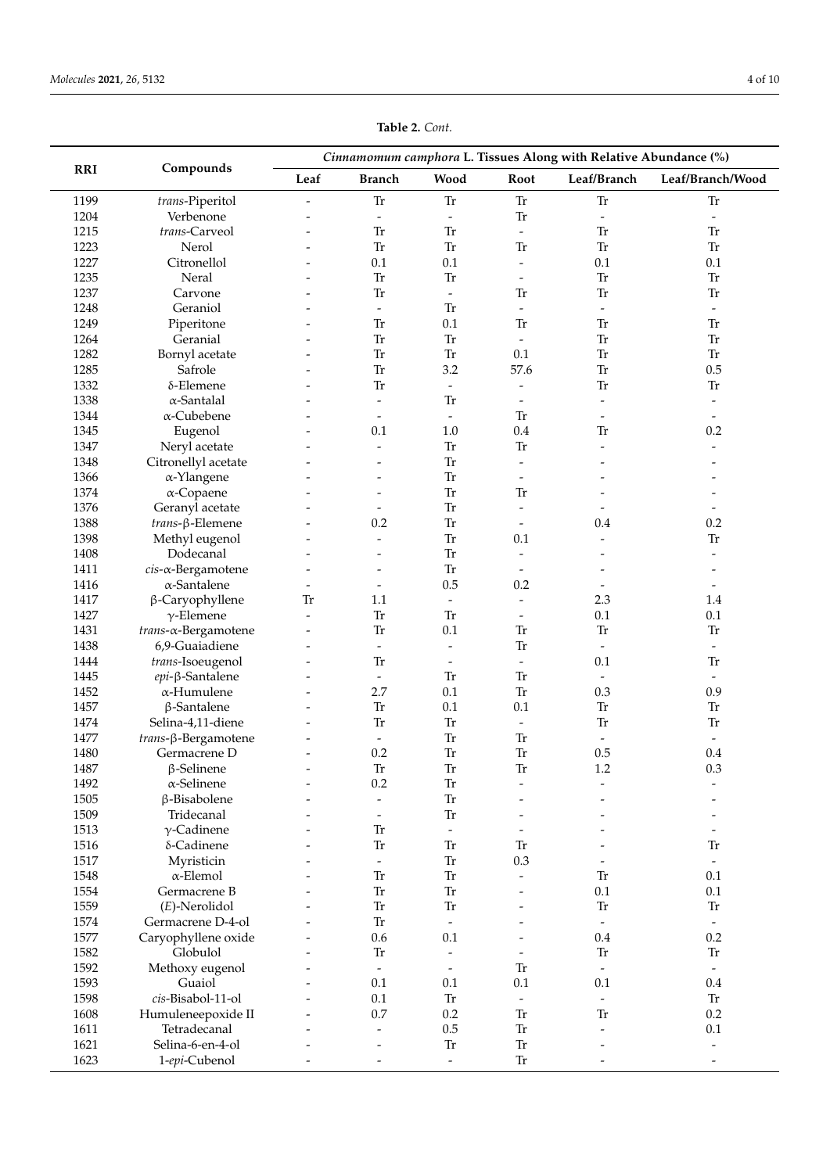| Cinnamomum camphora L. Tissues Along with Relative Abundance (%) |                             |                          |                                            |                                        |                                       |                          |                          |  |
|------------------------------------------------------------------|-----------------------------|--------------------------|--------------------------------------------|----------------------------------------|---------------------------------------|--------------------------|--------------------------|--|
| <b>RRI</b>                                                       | Compounds                   | Leaf                     | <b>Branch</b>                              | Wood                                   | Root                                  | Leaf/Branch              | Leaf/Branch/Wood         |  |
| 1199                                                             | trans-Piperitol             | $\overline{a}$           | ${\rm Tr}$                                 | ${\rm Tr}$                             | ${\rm Tr}$                            | <b>Tr</b>                | Tr                       |  |
| 1204                                                             | Verbenone                   | $\overline{\phantom{0}}$ | $\overline{\phantom{a}}$                   | $\frac{1}{2}$                          | ${\rm Tr}$                            | $\overline{\phantom{a}}$ | $\blacksquare$           |  |
| 1215                                                             | trans-Carveol               |                          | <b>Tr</b>                                  | ${\rm Tr}$                             | $\overline{\phantom{a}}$              | <b>Tr</b>                | <b>Tr</b>                |  |
| 1223                                                             | Nerol                       |                          | ${\rm Tr}$                                 | <b>Tr</b>                              | <b>Tr</b>                             | ${\rm Tr}$               | <b>Tr</b>                |  |
| 1227                                                             | Citronellol                 |                          | 0.1                                        | 0.1                                    | $\blacksquare$                        | 0.1                      | 0.1                      |  |
| 1235                                                             | Neral                       |                          | <b>Tr</b>                                  | <b>Tr</b>                              | $\overline{a}$                        | <b>Tr</b>                | <b>Tr</b>                |  |
| 1237                                                             | Carvone                     |                          | <b>Tr</b>                                  | $\overline{\phantom{a}}$               | <b>Tr</b>                             | Tr                       | <b>Tr</b>                |  |
| 1248                                                             | Geraniol                    |                          | $\overline{a}$                             | ${\rm Tr}$                             | $\overline{\phantom{a}}$              | $\blacksquare$           | $\overline{\phantom{a}}$ |  |
| 1249                                                             | Piperitone                  |                          | <b>Tr</b>                                  | 0.1                                    | ${\rm Tr}$                            | Tr                       | <b>Tr</b>                |  |
| 1264                                                             | Geranial                    |                          | <b>Tr</b>                                  | ${\rm Tr}$                             | $\overline{\phantom{a}}$              | Tr                       | <b>Tr</b>                |  |
| 1282                                                             | Bornyl acetate              |                          | ${\rm Tr}$                                 | ${\rm Tr}$                             | 0.1                                   | Tr                       | ${\rm Tr}$               |  |
| 1285                                                             | Safrole                     |                          | <b>Tr</b>                                  | 3.2                                    | 57.6                                  | Tr                       | 0.5                      |  |
| 1332                                                             | $\delta$ -Elemene           |                          | <b>Tr</b>                                  |                                        | $\overline{a}$                        | Tr                       | <b>Tr</b>                |  |
| 1338                                                             | $\alpha$ -Santalal          |                          |                                            | $\overline{\phantom{a}}$<br>${\rm Tr}$ |                                       |                          |                          |  |
|                                                                  |                             |                          | $\overline{\phantom{a}}$<br>$\overline{a}$ |                                        | $\overline{\phantom{a}}$<br><b>Tr</b> | $\overline{\phantom{0}}$ | $\overline{\phantom{a}}$ |  |
| 1344                                                             | $\alpha$ -Cubebene          |                          |                                            | $\overline{\phantom{a}}$               |                                       | $\overline{a}$           | $\overline{\phantom{a}}$ |  |
| 1345                                                             | Eugenol                     |                          | 0.1                                        | 1.0                                    | 0.4                                   | <b>Tr</b>                | 0.2                      |  |
| 1347                                                             | Neryl acetate               |                          |                                            | ${\rm Tr}$                             | ${\rm Tr}$                            | ٠                        |                          |  |
| 1348                                                             | Citronellyl acetate         |                          |                                            | ${\rm Tr}$                             | $\overline{\phantom{a}}$              |                          |                          |  |
| 1366                                                             | α-Ylangene                  |                          |                                            | ${\rm Tr}$                             |                                       |                          |                          |  |
| 1374                                                             | $\alpha$ -Copaene           |                          | $\overline{\phantom{0}}$                   | ${\rm Tr}$                             | ${\rm Tr}$                            |                          |                          |  |
| 1376                                                             | Geranyl acetate             |                          |                                            | Tr                                     | $\overline{\phantom{a}}$              |                          |                          |  |
| 1388                                                             | trans-β-Elemene             |                          | 0.2                                        | ${\rm Tr}$                             |                                       | 0.4                      | 0.2                      |  |
| 1398                                                             | Methyl eugenol              |                          | $\overline{\phantom{0}}$                   | ${\rm Tr}$                             | 0.1                                   | ٠                        | <b>Tr</b>                |  |
| 1408                                                             | Dodecanal                   |                          |                                            | ${\rm Tr}$                             | $\overline{a}$                        |                          |                          |  |
| 1411                                                             | cis-a-Bergamotene           |                          |                                            | ${\rm Tr}$                             | $\overline{a}$                        |                          |                          |  |
| 1416                                                             | $\alpha$ -Santalene         | $\overline{\phantom{m}}$ | $\overline{\phantom{a}}$                   | 0.5                                    | 0.2                                   | $\qquad \qquad -$        | $\overline{\phantom{a}}$ |  |
| 1417                                                             | β-Caryophyllene             | Tr                       | 1.1                                        | $\overline{\phantom{a}}$               | $\qquad \qquad \blacksquare$          | 2.3                      | 1.4                      |  |
| 1427                                                             | $\gamma$ -Elemene           |                          | <b>Tr</b>                                  | ${\rm Tr}$                             |                                       | 0.1                      | 0.1                      |  |
| 1431                                                             | $trans-\alpha-Bergamotene$  |                          | <b>Tr</b>                                  | 0.1                                    | ${\rm Tr}$                            | Tr                       | Tr                       |  |
| 1438                                                             | 6,9-Guaiadiene              |                          | $\qquad \qquad \blacksquare$               | $\qquad \qquad \blacksquare$           | <b>Tr</b>                             |                          | $\overline{\phantom{a}}$ |  |
| 1444                                                             | trans-Isoeugenol            |                          | <b>Tr</b>                                  | $\overline{\phantom{a}}$               | $\blacksquare$                        | 0.1                      | Tr                       |  |
| 1445                                                             | epi-β-Santalene             | $\overline{\phantom{0}}$ | $\overline{\phantom{a}}$                   | ${\rm Tr}$                             | ${\rm Tr}$                            | $\overline{\phantom{a}}$ | $\overline{\phantom{a}}$ |  |
| 1452                                                             | $\alpha$ -Humulene          |                          | 2.7                                        | 0.1                                    | ${\rm Tr}$                            | 0.3                      | 0.9                      |  |
| 1457                                                             | $\beta$ -Santalene          |                          | <b>Tr</b>                                  | 0.1                                    | 0.1                                   | ${\rm Tr}$               | <b>Tr</b>                |  |
|                                                                  |                             |                          | ${\rm Tr}$                                 |                                        | $\overline{a}$                        | ${\rm Tr}$               | <b>Tr</b>                |  |
| 1474                                                             | Selina-4,11-diene           | $\overline{a}$           |                                            | ${\rm Tr}$                             |                                       |                          |                          |  |
| 1477                                                             | <i>trans</i> -β-Bergamotene |                          | $\blacksquare$                             | ${\rm Tr}$                             | <b>Tr</b>                             |                          | $\overline{\phantom{a}}$ |  |
| 1480                                                             | Germacrene D                | $\overline{a}$           | 0.2                                        | ${\rm Tr}$                             | ${\rm Tr}$                            | 0.5                      | 0.4                      |  |
| 1487                                                             | $\beta$ -Selinene           | $\overline{\phantom{0}}$ | ${\rm Tr}$                                 | ${\rm Tr}$                             | ${\rm Tr}$                            | $1.2\,$                  | 0.3                      |  |
| 1492                                                             | $\alpha$ -Selinene          |                          | 0.2                                        | ${\rm Tr}$                             | $\overline{\phantom{a}}$              | $\overline{a}$           |                          |  |
| 1505                                                             | $\beta$ -Bisabolene         |                          |                                            | ${\rm Tr}$                             |                                       |                          |                          |  |
| 1509                                                             | Tridecanal                  |                          | $\overline{\phantom{a}}$                   | ${\rm Tr}$                             |                                       |                          |                          |  |
| 1513                                                             | $\gamma$ -Cadinene          |                          | ${\rm Tr}$                                 | $\overline{\phantom{a}}$               |                                       |                          |                          |  |
| 1516                                                             | δ-Cadinene                  |                          | ${\rm Tr}$                                 | ${\rm Tr}$                             | ${\rm Tr}$                            |                          | <b>Tr</b>                |  |
| 1517                                                             | Myristicin                  |                          | $\Box$                                     | ${\rm Tr}$                             | 0.3                                   |                          | $\overline{\phantom{a}}$ |  |
| 1548                                                             | $\alpha$ -Elemol            |                          | ${\rm Tr}$                                 | ${\rm Tr}$                             |                                       | Tr                       | 0.1                      |  |
| 1554                                                             | Germacrene B                |                          | ${\rm Tr}$                                 | ${\rm Tr}$                             |                                       | 0.1                      | 0.1                      |  |
| 1559                                                             | $(E)$ -Nerolidol            |                          | ${\rm Tr}$                                 | ${\rm Tr}$                             |                                       | ${\rm Tr}$               | ${\rm Tr}$               |  |
| 1574                                                             | Germacrene D-4-ol           |                          | ${\rm Tr}$                                 | $\overline{\phantom{a}}$               |                                       |                          | $\blacksquare$           |  |
| 1577                                                             | Caryophyllene oxide         |                          | 0.6                                        | 0.1                                    |                                       | 0.4                      | 0.2                      |  |
| 1582                                                             | Globulol                    |                          | ${\rm Tr}$                                 | $\overline{\phantom{a}}$               |                                       | <b>Tr</b>                | ${\rm Tr}$               |  |
| 1592                                                             | Methoxy eugenol             |                          | $\frac{1}{2}$                              | $\overline{\phantom{a}}$               | ${\rm Tr}$                            | $\overline{\phantom{a}}$ | $\overline{\phantom{a}}$ |  |
| 1593                                                             | Guaiol                      |                          | 0.1                                        | 0.1                                    | 0.1                                   | 0.1                      | 0.4                      |  |
| 1598                                                             | cis-Bisabol-11-ol           |                          | 0.1                                        | ${\rm Tr}$                             |                                       |                          | ${\rm Tr}$               |  |
|                                                                  |                             |                          |                                            |                                        | $\overline{\phantom{a}}$              | $\overline{\phantom{0}}$ |                          |  |
| 1608                                                             | Humuleneepoxide II          |                          | 0.7                                        | 0.2                                    | ${\rm Tr}$                            | ${\rm Tr}$               | 0.2                      |  |
| 1611                                                             | Tetradecanal                |                          | $\overline{\phantom{a}}$                   | $0.5\,$                                | ${\rm Tr}$                            |                          | 0.1                      |  |
| 1621                                                             | Selina-6-en-4-ol            |                          |                                            | ${\rm Tr}$                             | ${\rm Tr}$                            |                          | $\overline{\phantom{a}}$ |  |
| 1623                                                             | 1-epi-Cubenol               |                          |                                            | $\overline{\phantom{a}}$               | ${\rm Tr}$                            |                          | $\overline{\phantom{a}}$ |  |

**Table 2.** *Cont.*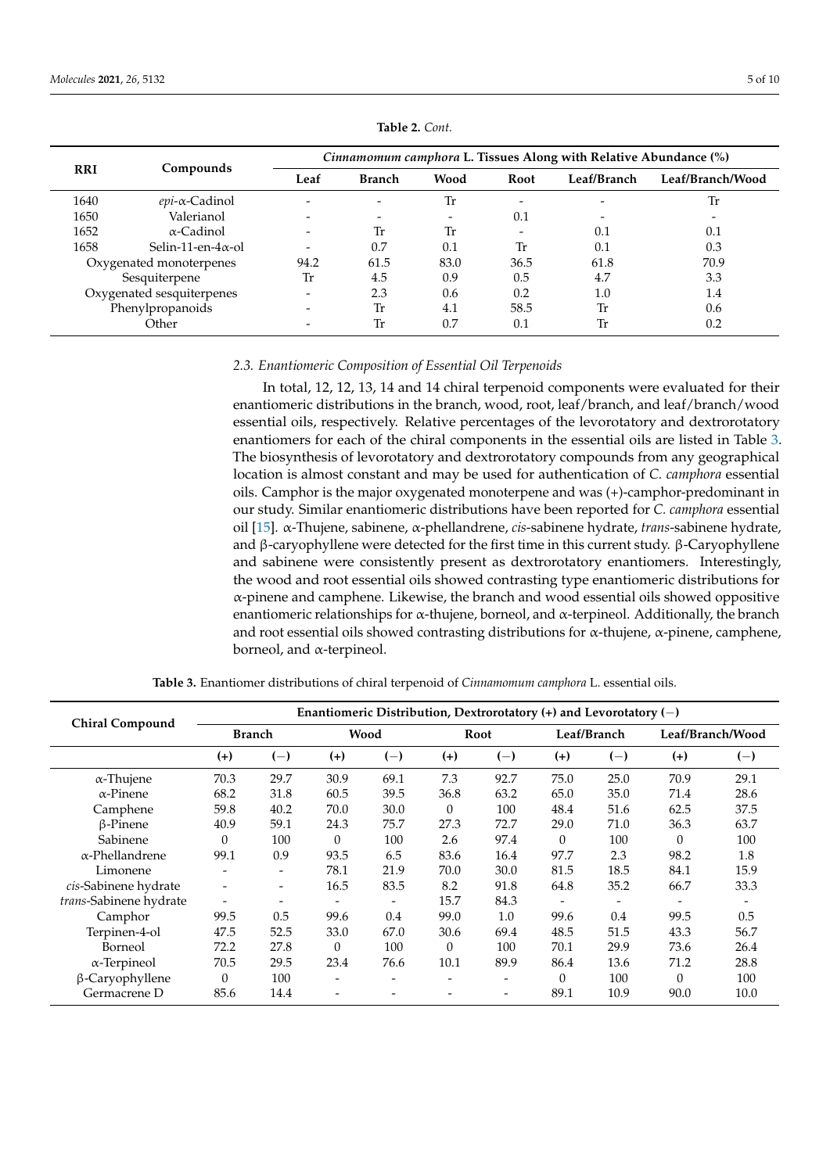<span id="page-4-0"></span>

| <b>RRI</b>              | Compounds                  |                              | <i>Cinnamomum camphora L. Tissues Along with Relative Abundance</i> (%) |      |             |                          |                  |  |  |  |
|-------------------------|----------------------------|------------------------------|-------------------------------------------------------------------------|------|-------------|--------------------------|------------------|--|--|--|
|                         |                            | Leaf                         | <b>Branch</b>                                                           | Wood | <b>Root</b> | Leaf/Branch              | Leaf/Branch/Wood |  |  |  |
| 1640                    | $epi$ - $\alpha$ -Cadinol  |                              |                                                                         | Tr   | -           |                          | Tr               |  |  |  |
| 1650                    | Valerianol                 | $\overline{\phantom{0}}$     |                                                                         |      | 0.1         | $\overline{\phantom{0}}$ |                  |  |  |  |
| 1652                    | $\alpha$ -Cadinol          | $\qquad \qquad \blacksquare$ | Tr                                                                      | Tr   | -           | 0.1                      | 0.1              |  |  |  |
| 1658                    | Selin-11-en- $4\alpha$ -ol | -                            | 0.7                                                                     | 0.1  | Tr          | 0.1                      | 0.3              |  |  |  |
| Oxygenated monoterpenes |                            | 94.2                         | 61.5                                                                    | 83.0 | 36.5        | 61.8                     | 70.9             |  |  |  |
|                         | Sesquiterpene              | Tr                           | 4.5                                                                     | 0.9  | 0.5         | 4.7                      | 3.3              |  |  |  |
|                         | Oxygenated sesquiterpenes  | $\overline{\phantom{m}}$     | 2.3                                                                     | 0.6  | 0.2         | 1.0                      | 1.4              |  |  |  |
| Phenylpropanoids        |                            |                              | Tr                                                                      | 4.1  | 58.5        | Tr                       | 0.6              |  |  |  |
|                         | Other                      |                              | Tr                                                                      | 0.7  | 0.1         | Tr                       | 0.2              |  |  |  |

**Table 2.** *Cont.*

# *2.3. Enantiomeric Composition of Essential Oil Terpenoids*

In total, 12, 12, 13, 14 and 14 chiral terpenoid components were evaluated for their enantiomeric distributions in the branch, wood, root, leaf/branch, and leaf/branch/wood essential oils, respectively. Relative percentages of the levorotatory and dextrorotatory enantiomers for each of the chiral components in the essential oils are listed in Table [3.](#page-4-1) The biosynthesis of levorotatory and dextrorotatory compounds from any geographical location is almost constant and may be used for authentication of *C. camphora* essential oils. Camphor is the major oxygenated monoterpene and was (+)-camphor-predominant in our study. Similar enantiomeric distributions have been reported for *C. camphora* essential oil [\[15\]](#page-8-11). α-Thujene, sabinene, α-phellandrene, *cis*-sabinene hydrate, *trans*-sabinene hydrate, and β-caryophyllene were detected for the first time in this current study. β-Caryophyllene and sabinene were consistently present as dextrorotatory enantiomers. Interestingly, the wood and root essential oils showed contrasting type enantiomeric distributions for  $\alpha$ -pinene and camphene. Likewise, the branch and wood essential oils showed oppositive enantiomeric relationships for α-thujene, borneol, and α-terpineol. Additionally, the branch and root essential oils showed contrasting distributions for  $\alpha$ -thujene,  $\alpha$ -pinene, camphene, borneol, and α-terpineol.

<span id="page-4-1"></span>

| <b>Chiral Compound</b> | Enantiomeric Distribution, Dextrorotatory $(+)$ and Levorotatory $(-)$ |                          |                          |       |          |       |              |             |          |                  |  |  |
|------------------------|------------------------------------------------------------------------|--------------------------|--------------------------|-------|----------|-------|--------------|-------------|----------|------------------|--|--|
|                        |                                                                        | <b>Branch</b>            |                          | Wood  |          | Root  |              | Leaf/Branch |          | Leaf/Branch/Wood |  |  |
|                        | $(+)$                                                                  | $(-)$                    | $(+)$                    | $(-)$ | $(+)$    | $(-)$ | $(+)$        | $(-)$       | $(+)$    | $(-)$            |  |  |
| $\alpha$ -Thujene      | 70.3                                                                   | 29.7                     | 30.9                     | 69.1  | 7.3      | 92.7  | 75.0         | 25.0        | 70.9     | 29.1             |  |  |
| $\alpha$ -Pinene       | 68.2                                                                   | 31.8                     | 60.5                     | 39.5  | 36.8     | 63.2  | 65.0         | 35.0        | 71.4     | 28.6             |  |  |
| Camphene               | 59.8                                                                   | 40.2                     | 70.0                     | 30.0  | $\theta$ | 100   | 48.4         | 51.6        | 62.5     | 37.5             |  |  |
| $\beta$ -Pinene        | 40.9                                                                   | 59.1                     | 24.3                     | 75.7  | 27.3     | 72.7  | 29.0         | 71.0        | 36.3     | 63.7             |  |  |
| Sabinene               | $\Omega$                                                               | 100                      | $\theta$                 | 100   | 2.6      | 97.4  | $\theta$     | 100         | $\Omega$ | 100              |  |  |
| $\alpha$ -Phellandrene | 99.1                                                                   | 0.9                      | 93.5                     | 6.5   | 83.6     | 16.4  | 97.7         | 2.3         | 98.2     | 1.8              |  |  |
| Limonene               | -                                                                      | $\overline{\phantom{0}}$ | 78.1                     | 21.9  | 70.0     | 30.0  | 81.5         | 18.5        | 84.1     | 15.9             |  |  |
| cis-Sabinene hydrate   |                                                                        | -                        | 16.5                     | 83.5  | 8.2      | 91.8  | 64.8         | 35.2        | 66.7     | 33.3             |  |  |
| trans-Sabinene hydrate | $\overline{\phantom{0}}$                                               |                          |                          | ۰     | 15.7     | 84.3  |              |             |          |                  |  |  |
| Camphor                | 99.5                                                                   | 0.5                      | 99.6                     | 0.4   | 99.0     | 1.0   | 99.6         | 0.4         | 99.5     | 0.5              |  |  |
| Terpinen-4-ol          | 47.5                                                                   | 52.5                     | 33.0                     | 67.0  | 30.6     | 69.4  | 48.5         | 51.5        | 43.3     | 56.7             |  |  |
| Borneol                | 72.2                                                                   | 27.8                     | $\Omega$                 | 100   | $\Omega$ | 100   | 70.1         | 29.9        | 73.6     | 26.4             |  |  |
| $\alpha$ -Terpineol    | 70.5                                                                   | 29.5                     | 23.4                     | 76.6  | 10.1     | 89.9  | 86.4         | 13.6        | 71.2     | 28.8             |  |  |
| β-Caryophyllene        | $\theta$                                                               | 100                      | $\overline{\phantom{0}}$ | -     |          |       | $\mathbf{0}$ | 100         | $\Omega$ | 100              |  |  |
| Germacrene D           | 85.6                                                                   | 14.4                     |                          |       |          |       | 89.1         | 10.9        | 90.0     | 10.0             |  |  |

**Table 3.** Enantiomer distributions of chiral terpenoid of *Cinnamomum camphora* L. essential oils.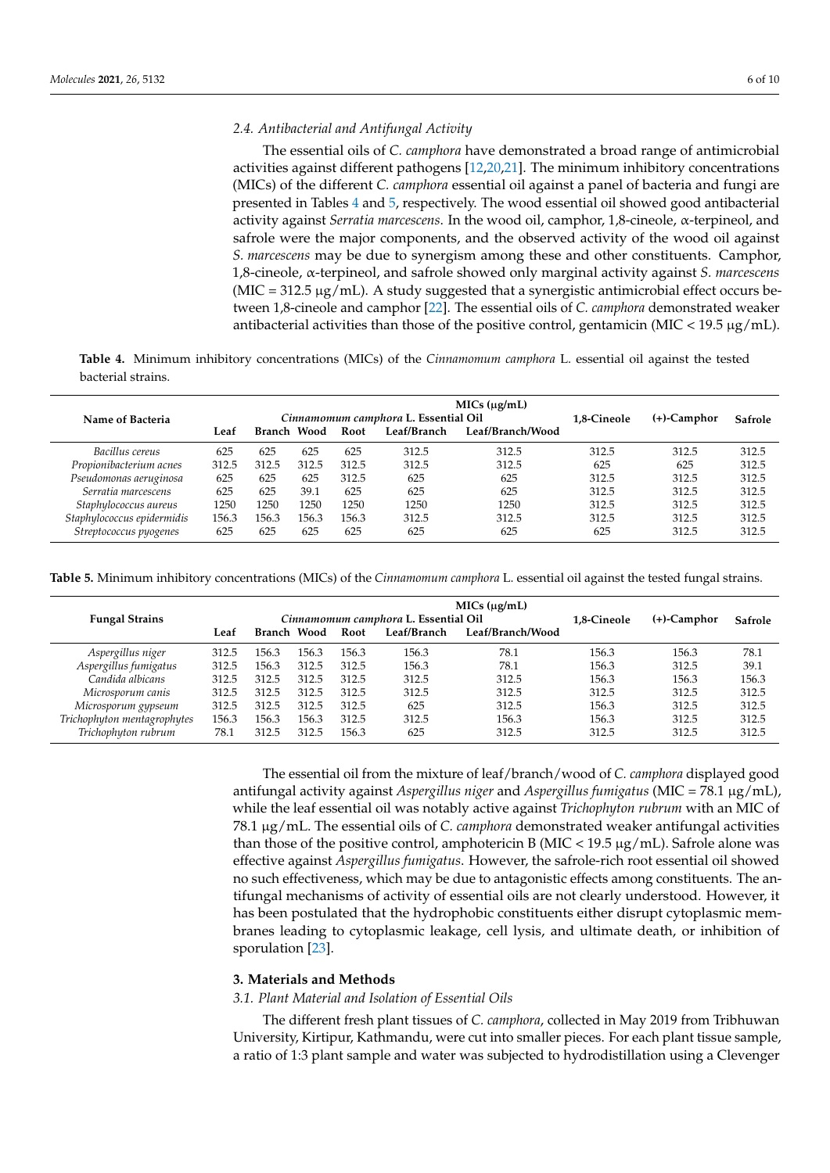## *2.4. Antibacterial and Antifungal Activity*

The essential oils of *C. camphora* have demonstrated a broad range of antimicrobial activities against different pathogens [\[12](#page-8-8)[,20](#page-8-16)[,21\]](#page-8-17). The minimum inhibitory concentrations (MICs) of the different *C. camphora* essential oil against a panel of bacteria and fungi are presented in Tables [4](#page-5-0) and [5,](#page-5-1) respectively. The wood essential oil showed good antibacterial activity against *Serratia marcescens*. In the wood oil, camphor, 1,8-cineole, α-terpineol, and safrole were the major components, and the observed activity of the wood oil against *S. marcescens* may be due to synergism among these and other constituents. Camphor, 1,8-cineole, α-terpineol, and safrole showed only marginal activity against *S. marcescens*  $(MIC = 312.5 \mu g/mL)$ . A study suggested that a synergistic antimicrobial effect occurs between 1,8-cineole and camphor [\[22\]](#page-8-18). The essential oils of *C. camphora* demonstrated weaker antibacterial activities than those of the positive control, gentamicin (MIC <  $19.5 \mu g/mL$ ).

<span id="page-5-0"></span>**Table 4.** Minimum inhibitory concentrations (MICs) of the *Cinnamomum camphora* L. essential oil against the tested bacterial strains.

| Name of Bacteria           |       |             |       | Cinnamomum camphora L. Essential Oil | 1.8-Cineole | $(+)$ -Camphor   | Safrole |       |       |
|----------------------------|-------|-------------|-------|--------------------------------------|-------------|------------------|---------|-------|-------|
|                            | Leaf  | Branch Wood |       | Root                                 | Leaf/Branch | Leaf/Branch/Wood |         |       |       |
| Bacillus cereus            | 625   | 625         | 625   | 625                                  | 312.5       | 312.5            | 312.5   | 312.5 | 312.5 |
| Propionibacterium acnes    | 312.5 | 312.5       | 312.5 | 312.5                                | 312.5       | 312.5            | 625     | 625   | 312.5 |
| Pseudomonas aeruginosa     | 625   | 625         | 625   | 312.5                                | 625         | 625              | 312.5   | 312.5 | 312.5 |
| Serratia marcescens        | 625   | 625         | 39.1  | 625                                  | 625         | 625              | 312.5   | 312.5 | 312.5 |
| Staphylococcus aureus      | 1250  | 1250        | 1250  | 1250                                 | 1250        | 1250             | 312.5   | 312.5 | 312.5 |
| Staphylococcus epidermidis | 156.3 | 156.3       | 156.3 | 156.3                                | 312.5       | 312.5            | 312.5   | 312.5 | 312.5 |
| Streptococcus pyogenes     | 625   | 625         | 625   | 625                                  | 625         | 625              | 625     | 312.5 | 312.5 |

<span id="page-5-1"></span>**Table 5.** Minimum inhibitory concentrations (MICs) of the *Cinnamomum camphora* L. essential oil against the tested fungal strains.

|                             | MICs (µg/mL) |             |       |       |                                      |                  |                |         |       |
|-----------------------------|--------------|-------------|-------|-------|--------------------------------------|------------------|----------------|---------|-------|
| <b>Fungal Strains</b>       |              |             |       |       | Cinnamomum camphora L. Essential Oil | 1.8-Cineole      | $(+)$ -Camphor | Safrole |       |
|                             | Leaf         | Branch Wood |       | Root  | Leaf/Branch                          | Leaf/Branch/Wood |                |         |       |
| Aspergillus niger           | 312.5        | 156.3       | 156.3 | 156.3 | 156.3                                | 78.1             | 156.3          | 156.3   | 78.1  |
| Aspergillus fumigatus       | 312.5        | 156.3       | 312.5 | 312.5 | 156.3                                | 78.1             | 156.3          | 312.5   | 39.1  |
| Candida albicans            | 312.5        | 312.5       | 312.5 | 312.5 | 312.5                                | 312.5            | 156.3          | 156.3   | 156.3 |
| Microsporum canis           | 312.5        | 312.5       | 312.5 | 312.5 | 312.5                                | 312.5            | 312.5          | 312.5   | 312.5 |
| Microsporum gypseum         | 312.5        | 312.5       | 312.5 | 312.5 | 625                                  | 312.5            | 156.3          | 312.5   | 312.5 |
| Trichophyton mentagrophytes | 156.3        | 156.3       | 156.3 | 312.5 | 312.5                                | 156.3            | 156.3          | 312.5   | 312.5 |
| Trichophyton rubrum         | 78.1         | 312.5       | 312.5 | 156.3 | 625                                  | 312.5            | 312.5          | 312.5   | 312.5 |

The essential oil from the mixture of leaf/branch/wood of *C. camphora* displayed good antifungal activity against *Aspergillus niger* and *Aspergillus fumigatus* (MIC = 78.1 µg/mL), while the leaf essential oil was notably active against *Trichophyton rubrum* with an MIC of 78.1 µg/mL. The essential oils of *C. camphora* demonstrated weaker antifungal activities than those of the positive control, amphotericin B (MIC < 19.5  $\mu$ g/mL). Safrole alone was effective against *Aspergillus fumigatus*. However, the safrole-rich root essential oil showed no such effectiveness, which may be due to antagonistic effects among constituents. The antifungal mechanisms of activity of essential oils are not clearly understood. However, it has been postulated that the hydrophobic constituents either disrupt cytoplasmic membranes leading to cytoplasmic leakage, cell lysis, and ultimate death, or inhibition of sporulation [\[23\]](#page-8-19).

## **3. Materials and Methods**

# *3.1. Plant Material and Isolation of Essential Oils*

The different fresh plant tissues of *C. camphora*, collected in May 2019 from Tribhuwan University, Kirtipur, Kathmandu, were cut into smaller pieces. For each plant tissue sample, a ratio of 1:3 plant sample and water was subjected to hydrodistillation using a Clevenger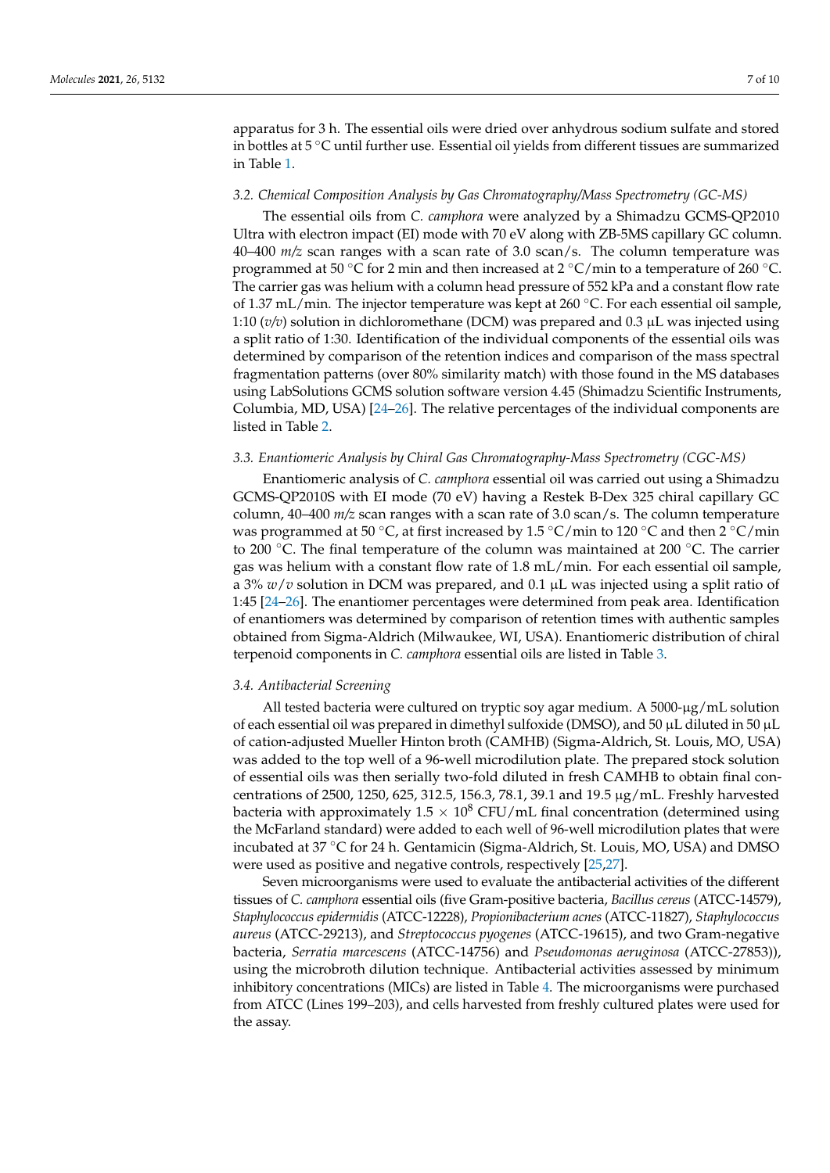apparatus for 3 h. The essential oils were dried over anhydrous sodium sulfate and stored in bottles at 5 ◦C until further use. Essential oil yields from different tissues are summarized in Table [1.](#page-1-0)

## *3.2. Chemical Composition Analysis by Gas Chromatography/Mass Spectrometry (GC-MS)*

The essential oils from *C. camphora* were analyzed by a Shimadzu GCMS-QP2010 Ultra with electron impact (EI) mode with 70 eV along with ZB-5MS capillary GC column. 40–400 *m/z* scan ranges with a scan rate of 3.0 scan/s. The column temperature was programmed at 50 °C for 2 min and then increased at 2 °C/min to a temperature of 260 °C. The carrier gas was helium with a column head pressure of 552 kPa and a constant flow rate of 1.37 mL/min. The injector temperature was kept at 260 °C. For each essential oil sample, 1:10 (*v/v*) solution in dichloromethane (DCM) was prepared and 0.3 µL was injected using a split ratio of 1:30. Identification of the individual components of the essential oils was determined by comparison of the retention indices and comparison of the mass spectral fragmentation patterns (over 80% similarity match) with those found in the MS databases using LabSolutions GCMS solution software version 4.45 (Shimadzu Scientific Instruments, Columbia, MD, USA) [\[24](#page-9-0)[–26\]](#page-9-1). The relative percentages of the individual components are listed in Table [2.](#page-4-0)

## *3.3. Enantiomeric Analysis by Chiral Gas Chromatography-Mass Spectrometry (CGC-MS)*

Enantiomeric analysis of *C. camphora* essential oil was carried out using a Shimadzu GCMS-QP2010S with EI mode (70 eV) having a Restek B-Dex 325 chiral capillary GC column, 40–400 *m/z* scan ranges with a scan rate of 3.0 scan/s. The column temperature was programmed at 50 °C, at first increased by 1.5 °C/min to 120 °C and then 2 °C/min to 200 <sup>°</sup>C. The final temperature of the column was maintained at 200 <sup>°</sup>C. The carrier gas was helium with a constant flow rate of 1.8 mL/min. For each essential oil sample, a 3% *w*/*v* solution in DCM was prepared, and 0.1 µL was injected using a split ratio of 1:45 [\[24](#page-9-0)[–26\]](#page-9-1). The enantiomer percentages were determined from peak area. Identification of enantiomers was determined by comparison of retention times with authentic samples obtained from Sigma-Aldrich (Milwaukee, WI, USA). Enantiomeric distribution of chiral terpenoid components in *C. camphora* essential oils are listed in Table [3.](#page-4-1)

#### *3.4. Antibacterial Screening*

All tested bacteria were cultured on tryptic soy agar medium. A 5000-µg/mL solution of each essential oil was prepared in dimethyl sulfoxide (DMSO), and 50 µL diluted in 50 µL of cation-adjusted Mueller Hinton broth (CAMHB) (Sigma-Aldrich, St. Louis, MO, USA) was added to the top well of a 96-well microdilution plate. The prepared stock solution of essential oils was then serially two-fold diluted in fresh CAMHB to obtain final concentrations of 2500, 1250, 625, 312.5, 156.3, 78.1, 39.1 and 19.5 µg/mL. Freshly harvested bacteria with approximately  $1.5 \times 10^8$  CFU/mL final concentration (determined using the McFarland standard) were added to each well of 96-well microdilution plates that were incubated at 37 ◦C for 24 h. Gentamicin (Sigma-Aldrich, St. Louis, MO, USA) and DMSO were used as positive and negative controls, respectively [\[25,](#page-9-2)[27\]](#page-9-3).

Seven microorganisms were used to evaluate the antibacterial activities of the different tissues of *C. camphora* essential oils (five Gram-positive bacteria, *Bacillus cereus* (ATCC-14579), *Staphylococcus epidermidis* (ATCC-12228), *Propionibacterium acnes* (ATCC-11827), *Staphylococcus aureus* (ATCC-29213), and *Streptococcus pyogenes* (ATCC-19615), and two Gram-negative bacteria, *Serratia marcescens* (ATCC-14756) and *Pseudomonas aeruginosa* (ATCC-27853)), using the microbroth dilution technique. Antibacterial activities assessed by minimum inhibitory concentrations (MICs) are listed in Table [4.](#page-5-0) The microorganisms were purchased from ATCC (Lines 199–203), and cells harvested from freshly cultured plates were used for the assay.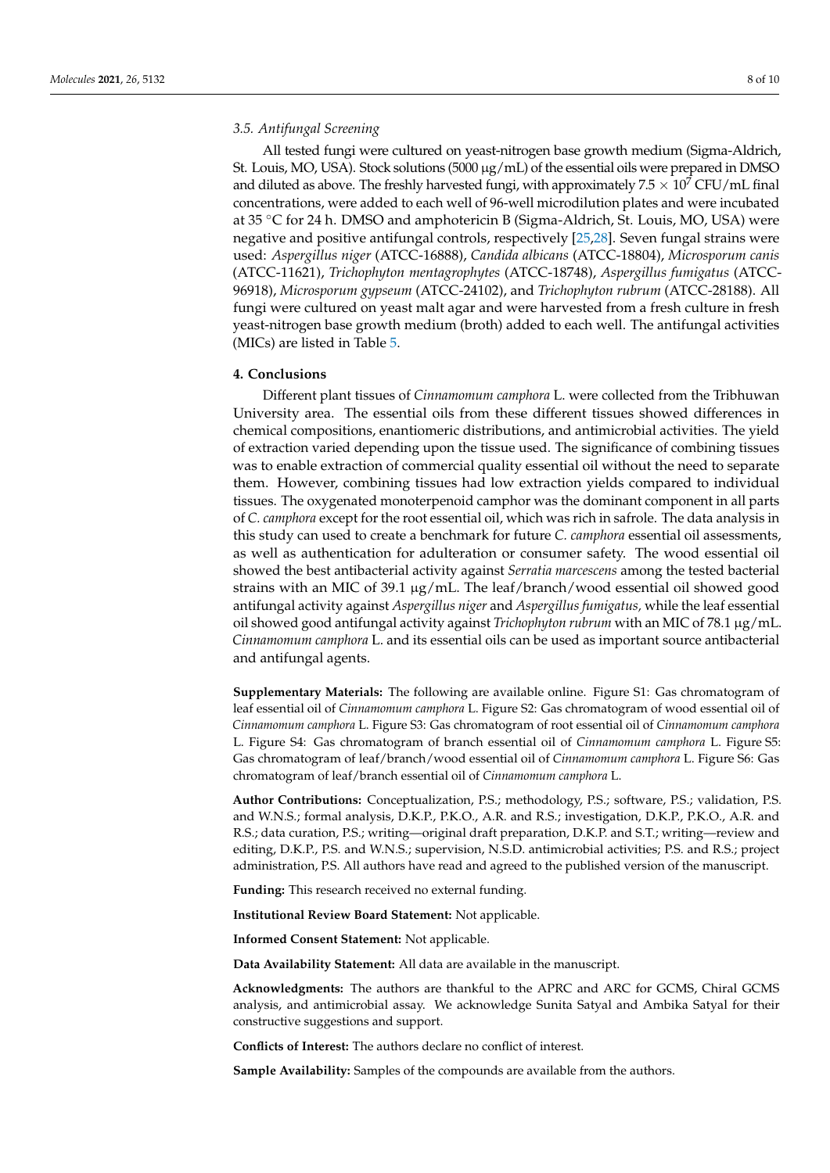# *3.5. Antifungal Screening*

All tested fungi were cultured on yeast-nitrogen base growth medium (Sigma-Aldrich, St. Louis, MO, USA). Stock solutions (5000 µg/mL) of the essential oils were prepared in DMSO and diluted as above. The freshly harvested fungi, with approximately  $7.5 \times 10^7$  CFU/mL final concentrations, were added to each well of 96-well microdilution plates and were incubated at 35 ◦C for 24 h. DMSO and amphotericin B (Sigma-Aldrich, St. Louis, MO, USA) were negative and positive antifungal controls, respectively [\[25,](#page-9-2)[28\]](#page-9-4). Seven fungal strains were used: *Aspergillus niger* (ATCC-16888), *Candida albicans* (ATCC-18804), *Microsporum canis* (ATCC-11621), *Trichophyton mentagrophytes* (ATCC-18748), *Aspergillus fumigatus* (ATCC-96918), *Microsporum gypseum* (ATCC-24102), and *Trichophyton rubrum* (ATCC-28188). All fungi were cultured on yeast malt agar and were harvested from a fresh culture in fresh yeast-nitrogen base growth medium (broth) added to each well. The antifungal activities (MICs) are listed in Table [5.](#page-5-1)

#### **4. Conclusions**

Different plant tissues of *Cinnamomum camphora* L. were collected from the Tribhuwan University area. The essential oils from these different tissues showed differences in chemical compositions, enantiomeric distributions, and antimicrobial activities. The yield of extraction varied depending upon the tissue used. The significance of combining tissues was to enable extraction of commercial quality essential oil without the need to separate them. However, combining tissues had low extraction yields compared to individual tissues. The oxygenated monoterpenoid camphor was the dominant component in all parts of *C. camphora* except for the root essential oil, which was rich in safrole. The data analysis in this study can used to create a benchmark for future *C. camphora* essential oil assessments, as well as authentication for adulteration or consumer safety. The wood essential oil showed the best antibacterial activity against *Serratia marcescens* among the tested bacterial strains with an MIC of 39.1 µg/mL. The leaf/branch/wood essential oil showed good antifungal activity against *Aspergillus niger* and *Aspergillus fumigatus,* while the leaf essential oil showed good antifungal activity against *Trichophyton rubrum* with an MIC of 78.1 µg/mL. *Cinnamomum camphora* L. and its essential oils can be used as important source antibacterial and antifungal agents.

**Supplementary Materials:** The following are available online. Figure S1: Gas chromatogram of leaf essential oil of *Cinnamomum camphora* L. Figure S2: Gas chromatogram of wood essential oil of *Cinnamomum camphora* L. Figure S3: Gas chromatogram of root essential oil of *Cinnamomum camphora* L. Figure S4: Gas chromatogram of branch essential oil of *Cinnamomum camphora* L. Figure S5: Gas chromatogram of leaf/branch/wood essential oil of *Cinnamomum camphora* L. Figure S6: Gas chromatogram of leaf/branch essential oil of *Cinnamomum camphora* L.

**Author Contributions:** Conceptualization, P.S.; methodology, P.S.; software, P.S.; validation, P.S. and W.N.S.; formal analysis, D.K.P., P.K.O., A.R. and R.S.; investigation, D.K.P., P.K.O., A.R. and R.S.; data curation, P.S.; writing—original draft preparation, D.K.P. and S.T.; writing—review and editing, D.K.P., P.S. and W.N.S.; supervision, N.S.D. antimicrobial activities; P.S. and R.S.; project administration, P.S. All authors have read and agreed to the published version of the manuscript.

**Funding:** This research received no external funding.

**Institutional Review Board Statement:** Not applicable.

**Informed Consent Statement:** Not applicable.

**Data Availability Statement:** All data are available in the manuscript.

**Acknowledgments:** The authors are thankful to the APRC and ARC for GCMS, Chiral GCMS analysis, and antimicrobial assay. We acknowledge Sunita Satyal and Ambika Satyal for their constructive suggestions and support.

**Conflicts of Interest:** The authors declare no conflict of interest.

**Sample Availability:** Samples of the compounds are available from the authors.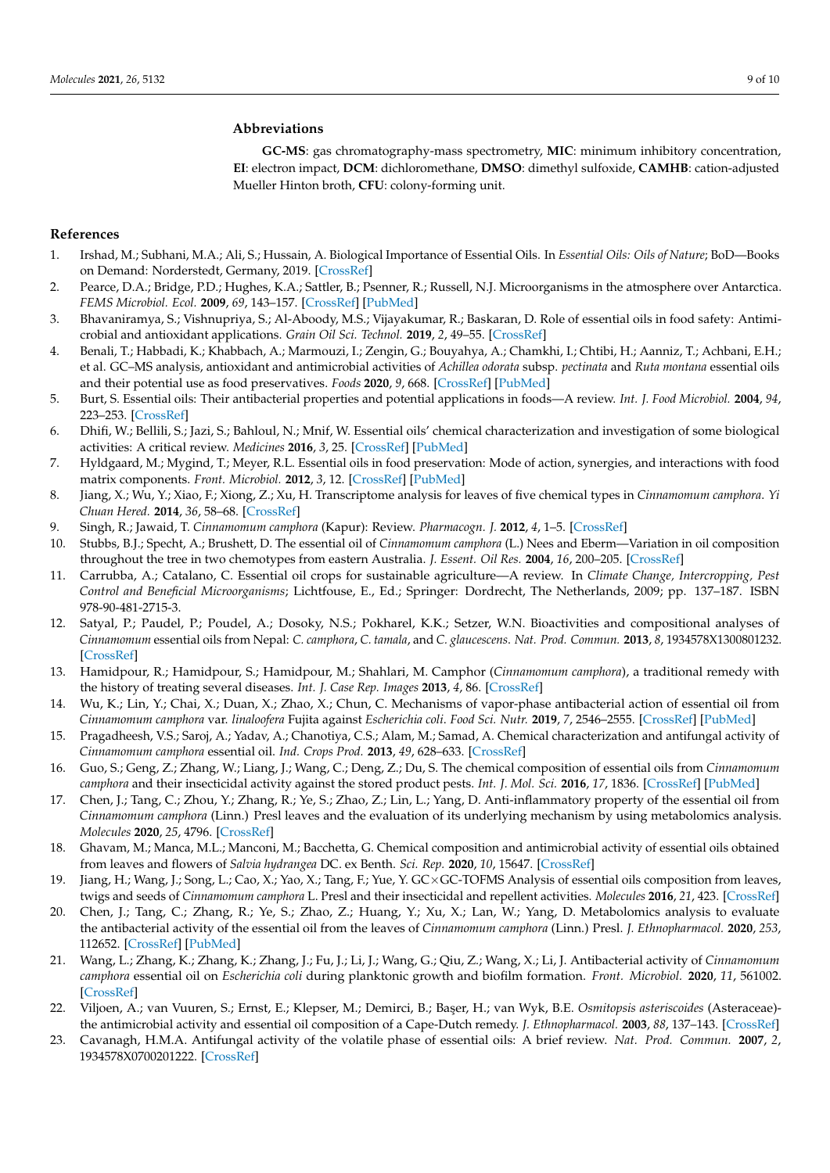## **Abbreviations**

**GC-MS**: gas chromatography-mass spectrometry, **MIC**: minimum inhibitory concentration, **EI**: electron impact, **DCM**: dichloromethane, **DMSO**: dimethyl sulfoxide, **CAMHB**: cation-adjusted Mueller Hinton broth, **CFU**: colony-forming unit.

# **References**

- <span id="page-8-0"></span>1. Irshad, M.; Subhani, M.A.; Ali, S.; Hussain, A. Biological Importance of Essential Oils. In *Essential Oils: Oils of Nature*; BoD—Books on Demand: Norderstedt, Germany, 2019. [\[CrossRef\]](http://doi.org/10.5772/intechopen.87198)
- <span id="page-8-1"></span>2. Pearce, D.A.; Bridge, P.D.; Hughes, K.A.; Sattler, B.; Psenner, R.; Russell, N.J. Microorganisms in the atmosphere over Antarctica. *FEMS Microbiol. Ecol.* **2009**, *69*, 143–157. [\[CrossRef\]](http://doi.org/10.1111/j.1574-6941.2009.00706.x) [\[PubMed\]](http://www.ncbi.nlm.nih.gov/pubmed/19527292)
- <span id="page-8-2"></span>3. Bhavaniramya, S.; Vishnupriya, S.; Al-Aboody, M.S.; Vijayakumar, R.; Baskaran, D. Role of essential oils in food safety: Antimicrobial and antioxidant applications. *Grain Oil Sci. Technol.* **2019**, *2*, 49–55. [\[CrossRef\]](http://doi.org/10.1016/j.gaost.2019.03.001)
- <span id="page-8-3"></span>4. Benali, T.; Habbadi, K.; Khabbach, A.; Marmouzi, I.; Zengin, G.; Bouyahya, A.; Chamkhi, I.; Chtibi, H.; Aanniz, T.; Achbani, E.H.; et al. GC–MS analysis, antioxidant and antimicrobial activities of *Achillea odorata* subsp. *pectinata* and *Ruta montana* essential oils and their potential use as food preservatives. *Foods* **2020**, *9*, 668. [\[CrossRef\]](http://doi.org/10.3390/foods9050668) [\[PubMed\]](http://www.ncbi.nlm.nih.gov/pubmed/32455872)
- 5. Burt, S. Essential oils: Their antibacterial properties and potential applications in foods—A review. *Int. J. Food Microbiol.* **2004**, *94*, 223–253. [\[CrossRef\]](http://doi.org/10.1016/j.ijfoodmicro.2004.03.022)
- 6. Dhifi, W.; Bellili, S.; Jazi, S.; Bahloul, N.; Mnif, W. Essential oils' chemical characterization and investigation of some biological activities: A critical review. *Medicines* **2016**, *3*, 25. [\[CrossRef\]](http://doi.org/10.3390/medicines3040025) [\[PubMed\]](http://www.ncbi.nlm.nih.gov/pubmed/28930135)
- <span id="page-8-4"></span>7. Hyldgaard, M.; Mygind, T.; Meyer, R.L. Essential oils in food preservation: Mode of action, synergies, and interactions with food matrix components. *Front. Microbiol.* **2012**, *3*, 12. [\[CrossRef\]](http://doi.org/10.3389/fmicb.2012.00012) [\[PubMed\]](http://www.ncbi.nlm.nih.gov/pubmed/22291693)
- <span id="page-8-5"></span>8. Jiang, X.; Wu, Y.; Xiao, F.; Xiong, Z.; Xu, H. Transcriptome analysis for leaves of five chemical types in *Cinnamomum camphora*. *Yi Chuan Hered.* **2014**, *36*, 58–68. [\[CrossRef\]](http://doi.org/10.3724/sp.j.1005.2014.00058)
- 9. Singh, R.; Jawaid, T. *Cinnamomum camphora* (Kapur): Review. *Pharmacogn. J.* **2012**, *4*, 1–5. [\[CrossRef\]](http://doi.org/10.5530/pj.2012.28.1)
- <span id="page-8-6"></span>10. Stubbs, B.J.; Specht, A.; Brushett, D. The essential oil of *Cinnamomum camphora* (L.) Nees and Eberm—Variation in oil composition throughout the tree in two chemotypes from eastern Australia. *J. Essent. Oil Res.* **2004**, *16*, 200–205. [\[CrossRef\]](http://doi.org/10.1080/10412905.2004.9698697)
- <span id="page-8-7"></span>11. Carrubba, A.; Catalano, C. Essential oil crops for sustainable agriculture—A review. In *Climate Change, Intercropping, Pest Control and Beneficial Microorganisms*; Lichtfouse, E., Ed.; Springer: Dordrecht, The Netherlands, 2009; pp. 137–187. ISBN 978-90-481-2715-3.
- <span id="page-8-8"></span>12. Satyal, P.; Paudel, P.; Poudel, A.; Dosoky, N.S.; Pokharel, K.K.; Setzer, W.N. Bioactivities and compositional analyses of *Cinnamomum* essential oils from Nepal: *C. camphora*, *C. tamala*, and *C. glaucescens*. *Nat. Prod. Commun.* **2013**, *8*, 1934578X1300801232. [\[CrossRef\]](http://doi.org/10.1177/1934578X1300801232)
- <span id="page-8-9"></span>13. Hamidpour, R.; Hamidpour, S.; Hamidpour, M.; Shahlari, M. Camphor (*Cinnamomum camphora*), a traditional remedy with the history of treating several diseases. *Int. J. Case Rep. Images* **2013**, *4*, 86. [\[CrossRef\]](http://doi.org/10.5348/ijcri-2013-02-267-RA-1)
- <span id="page-8-10"></span>14. Wu, K.; Lin, Y.; Chai, X.; Duan, X.; Zhao, X.; Chun, C. Mechanisms of vapor-phase antibacterial action of essential oil from *Cinnamomum camphora* var. *linaloofera* Fujita against *Escherichia coli*. *Food Sci. Nutr.* **2019**, *7*, 2546–2555. [\[CrossRef\]](http://doi.org/10.1002/fsn3.1104) [\[PubMed\]](http://www.ncbi.nlm.nih.gov/pubmed/31428342)
- <span id="page-8-11"></span>15. Pragadheesh, V.S.; Saroj, A.; Yadav, A.; Chanotiya, C.S.; Alam, M.; Samad, A. Chemical characterization and antifungal activity of *Cinnamomum camphora* essential oil. *Ind. Crops Prod.* **2013**, *49*, 628–633. [\[CrossRef\]](http://doi.org/10.1016/j.indcrop.2013.06.023)
- <span id="page-8-12"></span>16. Guo, S.; Geng, Z.; Zhang, W.; Liang, J.; Wang, C.; Deng, Z.; Du, S. The chemical composition of essential oils from *Cinnamomum camphora* and their insecticidal activity against the stored product pests. *Int. J. Mol. Sci.* **2016**, *17*, 1836. [\[CrossRef\]](http://doi.org/10.3390/ijms17111836) [\[PubMed\]](http://www.ncbi.nlm.nih.gov/pubmed/27827929)
- <span id="page-8-13"></span>17. Chen, J.; Tang, C.; Zhou, Y.; Zhang, R.; Ye, S.; Zhao, Z.; Lin, L.; Yang, D. Anti-inflammatory property of the essential oil from *Cinnamomum camphora* (Linn.) Presl leaves and the evaluation of its underlying mechanism by using metabolomics analysis. *Molecules* **2020**, *25*, 4796. [\[CrossRef\]](http://doi.org/10.3390/molecules25204796)
- <span id="page-8-14"></span>18. Ghavam, M.; Manca, M.L.; Manconi, M.; Bacchetta, G. Chemical composition and antimicrobial activity of essential oils obtained from leaves and flowers of *Salvia hydrangea* DC. ex Benth. *Sci. Rep.* **2020**, *10*, 15647. [\[CrossRef\]](http://doi.org/10.1038/s41598-020-73193-y)
- <span id="page-8-15"></span>19. Jiang, H.; Wang, J.; Song, L.; Cao, X.; Yao, X.; Tang, F.; Yue, Y. GC×GC-TOFMS Analysis of essential oils composition from leaves, twigs and seeds of *Cinnamomum camphora* L. Presl and their insecticidal and repellent activities. *Molecules* **2016**, *21*, 423. [\[CrossRef\]](http://doi.org/10.3390/molecules21040423)
- <span id="page-8-16"></span>20. Chen, J.; Tang, C.; Zhang, R.; Ye, S.; Zhao, Z.; Huang, Y.; Xu, X.; Lan, W.; Yang, D. Metabolomics analysis to evaluate the antibacterial activity of the essential oil from the leaves of *Cinnamomum camphora* (Linn.) Presl. *J. Ethnopharmacol.* **2020**, *253*, 112652. [\[CrossRef\]](http://doi.org/10.1016/j.jep.2020.112652) [\[PubMed\]](http://www.ncbi.nlm.nih.gov/pubmed/32035880)
- <span id="page-8-17"></span>21. Wang, L.; Zhang, K.; Zhang, K.; Zhang, J.; Fu, J.; Li, J.; Wang, G.; Qiu, Z.; Wang, X.; Li, J. Antibacterial activity of *Cinnamomum camphora* essential oil on *Escherichia coli* during planktonic growth and biofilm formation. *Front. Microbiol.* **2020**, *11*, 561002. [\[CrossRef\]](http://doi.org/10.3389/fmicb.2020.561002)
- <span id="page-8-18"></span>22. Viljoen, A.; van Vuuren, S.; Ernst, E.; Klepser, M.; Demirci, B.; Başer, H.; van Wyk, B.E. *Osmitopsis asteriscoides* (Asteraceae)the antimicrobial activity and essential oil composition of a Cape-Dutch remedy. *J. Ethnopharmacol.* **2003**, *88*, 137–143. [\[CrossRef\]](http://doi.org/10.1016/S0378-8741(03)00191-0)
- <span id="page-8-19"></span>23. Cavanagh, H.M.A. Antifungal activity of the volatile phase of essential oils: A brief review. *Nat. Prod. Commun.* **2007**, *2*, 1934578X0700201222. [\[CrossRef\]](http://doi.org/10.1177/1934578X0700201222)